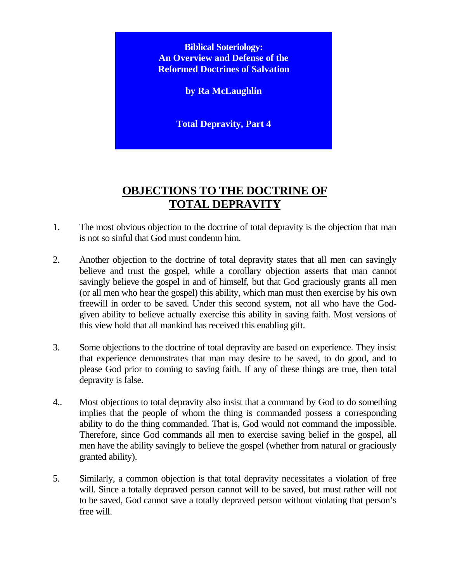**Biblical Soteriology: An Overview and Defense of the Reformed Doctrines of Salvation**

**by Ra McLaughlin**

**Total Depravity, Part 4**

# **OBJECTIONS TO THE DOCTRINE OF TOTAL DEPRAVITY**

- 1. The most obvious objection to the doctrine of total depravity is the objection that man is not so sinful that God must condemn him.
- 2. Another objection to the doctrine of total depravity states that all men can savingly believe and trust the gospel, while a corollary objection asserts that man cannot savingly believe the gospel in and of himself, but that God graciously grants all men (or all men who hear the gospel) this ability, which man must then exercise by his own freewill in order to be saved. Under this second system, not all who have the Godgiven ability to believe actually exercise this ability in saving faith. Most versions of this view hold that all mankind has received this enabling gift.
- 3. Some objections to the doctrine of total depravity are based on experience. They insist that experience demonstrates that man may desire to be saved, to do good, and to please God prior to coming to saving faith. If any of these things are true, then total depravity is false.
- 4.. Most objections to total depravity also insist that a command by God to do something implies that the people of whom the thing is commanded possess a corresponding ability to do the thing commanded. That is, God would not command the impossible. Therefore, since God commands all men to exercise saving belief in the gospel, all men have the ability savingly to believe the gospel (whether from natural or graciously granted ability).
- 5. Similarly, a common objection is that total depravity necessitates a violation of free will. Since a totally depraved person cannot will to be saved, but must rather will not to be saved, God cannot save a totally depraved person without violating that person's free will.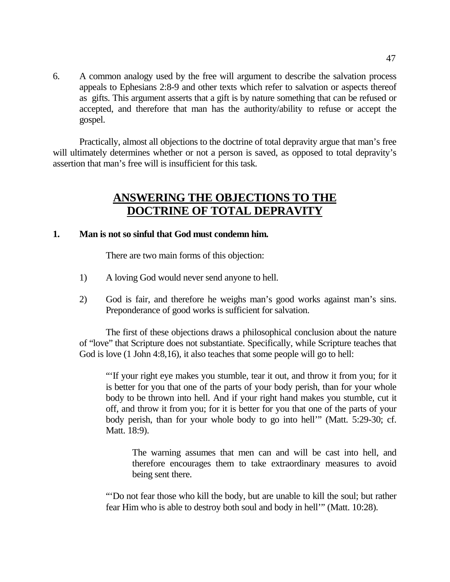6. A common analogy used by the free will argument to describe the salvation process appeals to Ephesians 2:8-9 and other texts which refer to salvation or aspects thereof as gifts. This argument asserts that a gift is by nature something that can be refused or accepted, and therefore that man has the authority/ability to refuse or accept the gospel.

Practically, almost all objections to the doctrine of total depravity argue that man's free will ultimately determines whether or not a person is saved, as opposed to total depravity's assertion that man's free will is insufficient for this task.

## **ANSWERING THE OBJECTIONS TO THE DOCTRINE OF TOTAL DEPRAVITY**

## **1. Man is not so sinful that God must condemn him.**

There are two main forms of this objection:

- 1) A loving God would never send anyone to hell.
- 2) God is fair, and therefore he weighs man's good works against man's sins. Preponderance of good works is sufficient for salvation.

The first of these objections draws a philosophical conclusion about the nature of "love" that Scripture does not substantiate. Specifically, while Scripture teaches that God is love (1 John 4:8,16), it also teaches that some people will go to hell:

"'If your right eye makes you stumble, tear it out, and throw it from you; for it is better for you that one of the parts of your body perish, than for your whole body to be thrown into hell. And if your right hand makes you stumble, cut it off, and throw it from you; for it is better for you that one of the parts of your body perish, than for your whole body to go into hell'" (Matt. 5:29-30; cf. Matt. 18:9).

The warning assumes that men can and will be cast into hell, and therefore encourages them to take extraordinary measures to avoid being sent there.

"'Do not fear those who kill the body, but are unable to kill the soul; but rather fear Him who is able to destroy both soul and body in hell'" (Matt. 10:28).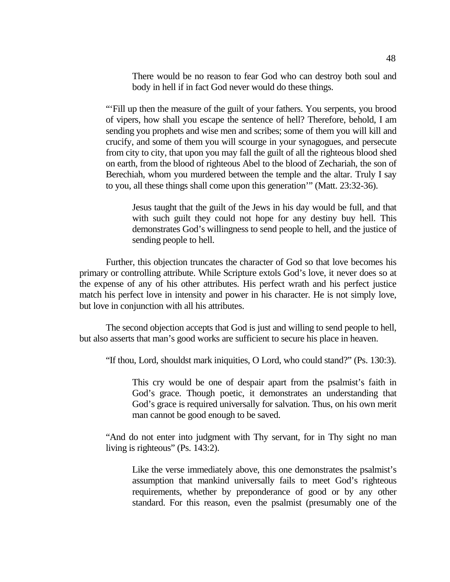There would be no reason to fear God who can destroy both soul and body in hell if in fact God never would do these things.

"'Fill up then the measure of the guilt of your fathers. You serpents, you brood of vipers, how shall you escape the sentence of hell? Therefore, behold, I am sending you prophets and wise men and scribes; some of them you will kill and crucify, and some of them you will scourge in your synagogues, and persecute from city to city, that upon you may fall the guilt of all the righteous blood shed on earth, from the blood of righteous Abel to the blood of Zechariah, the son of Berechiah, whom you murdered between the temple and the altar. Truly I say to you, all these things shall come upon this generation'" (Matt. 23:32-36).

Jesus taught that the guilt of the Jews in his day would be full, and that with such guilt they could not hope for any destiny buy hell. This demonstrates God's willingness to send people to hell, and the justice of sending people to hell.

Further, this objection truncates the character of God so that love becomes his primary or controlling attribute. While Scripture extols God's love, it never does so at the expense of any of his other attributes. His perfect wrath and his perfect justice match his perfect love in intensity and power in his character. He is not simply love, but love in conjunction with all his attributes.

The second objection accepts that God is just and willing to send people to hell, but also asserts that man's good works are sufficient to secure his place in heaven.

"If thou, Lord, shouldst mark iniquities, O Lord, who could stand?" (Ps. 130:3).

This cry would be one of despair apart from the psalmist's faith in God's grace. Though poetic, it demonstrates an understanding that God's grace is required universally for salvation. Thus, on his own merit man cannot be good enough to be saved.

"And do not enter into judgment with Thy servant, for in Thy sight no man living is righteous" (Ps. 143:2).

Like the verse immediately above, this one demonstrates the psalmist's assumption that mankind universally fails to meet God's righteous requirements, whether by preponderance of good or by any other standard. For this reason, even the psalmist (presumably one of the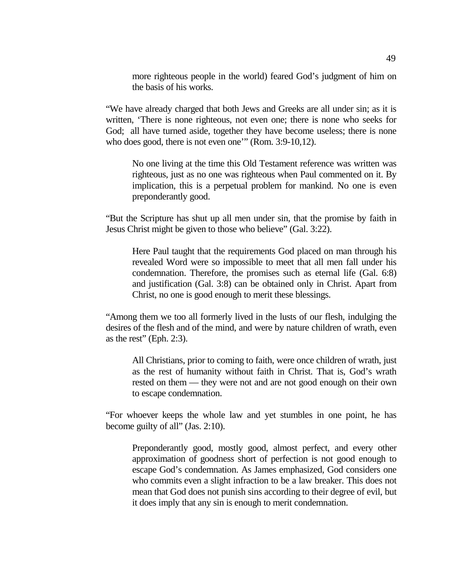more righteous people in the world) feared God's judgment of him on the basis of his works.

"We have already charged that both Jews and Greeks are all under sin; as it is written, 'There is none righteous, not even one; there is none who seeks for God; all have turned aside, together they have become useless; there is none who does good, there is not even one'" (Rom. 3:9-10,12).

No one living at the time this Old Testament reference was written was righteous, just as no one was righteous when Paul commented on it. By implication, this is a perpetual problem for mankind. No one is even preponderantly good.

"But the Scripture has shut up all men under sin, that the promise by faith in Jesus Christ might be given to those who believe" (Gal. 3:22).

Here Paul taught that the requirements God placed on man through his revealed Word were so impossible to meet that all men fall under his condemnation. Therefore, the promises such as eternal life (Gal. 6:8) and justification (Gal. 3:8) can be obtained only in Christ. Apart from Christ, no one is good enough to merit these blessings.

"Among them we too all formerly lived in the lusts of our flesh, indulging the desires of the flesh and of the mind, and were by nature children of wrath, even as the rest" (Eph. 2:3).

All Christians, prior to coming to faith, were once children of wrath, just as the rest of humanity without faith in Christ. That is, God's wrath rested on them — they were not and are not good enough on their own to escape condemnation.

"For whoever keeps the whole law and yet stumbles in one point, he has become guilty of all" (Jas. 2:10).

Preponderantly good, mostly good, almost perfect, and every other approximation of goodness short of perfection is not good enough to escape God's condemnation. As James emphasized, God considers one who commits even a slight infraction to be a law breaker. This does not mean that God does not punish sins according to their degree of evil, but it does imply that any sin is enough to merit condemnation.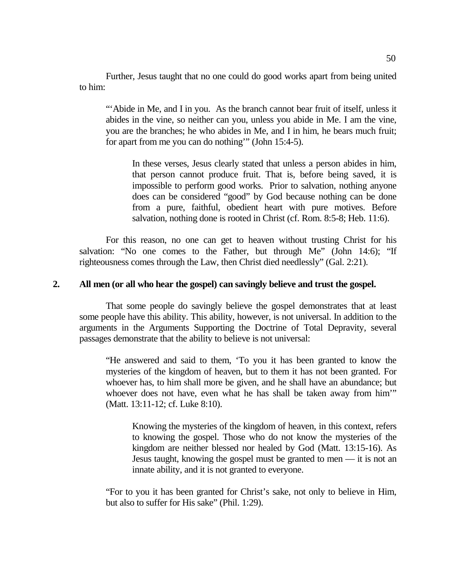Further, Jesus taught that no one could do good works apart from being united to him:

"Abide in Me, and I in you. As the branch cannot bear fruit of itself, unless it abides in the vine, so neither can you, unless you abide in Me. I am the vine, you are the branches; he who abides in Me, and I in him, he bears much fruit; for apart from me you can do nothing'" (John 15:4-5).

In these verses, Jesus clearly stated that unless a person abides in him, that person cannot produce fruit. That is, before being saved, it is impossible to perform good works. Prior to salvation, nothing anyone does can be considered "good" by God because nothing can be done from a pure, faithful, obedient heart with pure motives. Before salvation, nothing done is rooted in Christ (cf. Rom. 8:5-8; Heb. 11:6).

For this reason, no one can get to heaven without trusting Christ for his salvation: "No one comes to the Father, but through Me" (John 14:6); "If righteousness comes through the Law, then Christ died needlessly" (Gal. 2:21).

### **2. All men (or all who hear the gospel) can savingly believe and trust the gospel.**

That some people do savingly believe the gospel demonstrates that at least some people have this ability. This ability, however, is not universal. In addition to the arguments in the Arguments Supporting the Doctrine of Total Depravity, several passages demonstrate that the ability to believe is not universal:

"He answered and said to them, 'To you it has been granted to know the mysteries of the kingdom of heaven, but to them it has not been granted. For whoever has, to him shall more be given, and he shall have an abundance; but whoever does not have, even what he has shall be taken away from him'" (Matt. 13:11-12; cf. Luke 8:10).

Knowing the mysteries of the kingdom of heaven, in this context, refers to knowing the gospel. Those who do not know the mysteries of the kingdom are neither blessed nor healed by God (Matt. 13:15-16). As Jesus taught, knowing the gospel must be granted to men — it is not an innate ability, and it is not granted to everyone.

"For to you it has been granted for Christ's sake, not only to believe in Him, but also to suffer for His sake" (Phil. 1:29).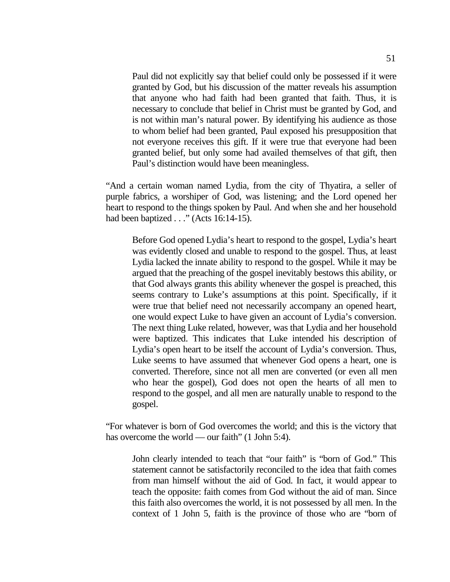Paul did not explicitly say that belief could only be possessed if it were granted by God, but his discussion of the matter reveals his assumption that anyone who had faith had been granted that faith. Thus, it is necessary to conclude that belief in Christ must be granted by God, and is not within man's natural power. By identifying his audience as those to whom belief had been granted, Paul exposed his presupposition that not everyone receives this gift. If it were true that everyone had been granted belief, but only some had availed themselves of that gift, then Paul's distinction would have been meaningless.

"And a certain woman named Lydia, from the city of Thyatira, a seller of purple fabrics, a worshiper of God, was listening; and the Lord opened her heart to respond to the things spoken by Paul. And when she and her household had been baptized . . ." (Acts 16:14-15).

Before God opened Lydia's heart to respond to the gospel, Lydia's heart was evidently closed and unable to respond to the gospel. Thus, at least Lydia lacked the innate ability to respond to the gospel. While it may be argued that the preaching of the gospel inevitably bestows this ability, or that God always grants this ability whenever the gospel is preached, this seems contrary to Luke's assumptions at this point. Specifically, if it were true that belief need not necessarily accompany an opened heart, one would expect Luke to have given an account of Lydia's conversion. The next thing Luke related, however, was that Lydia and her household were baptized. This indicates that Luke intended his description of Lydia's open heart to be itself the account of Lydia's conversion. Thus, Luke seems to have assumed that whenever God opens a heart, one is converted. Therefore, since not all men are converted (or even all men who hear the gospel), God does not open the hearts of all men to respond to the gospel, and all men are naturally unable to respond to the gospel.

"For whatever is born of God overcomes the world; and this is the victory that has overcome the world — our faith" (1 John 5:4).

John clearly intended to teach that "our faith" is "born of God." This statement cannot be satisfactorily reconciled to the idea that faith comes from man himself without the aid of God. In fact, it would appear to teach the opposite: faith comes from God without the aid of man. Since this faith also overcomes the world, it is not possessed by all men. In the context of 1 John 5, faith is the province of those who are "born of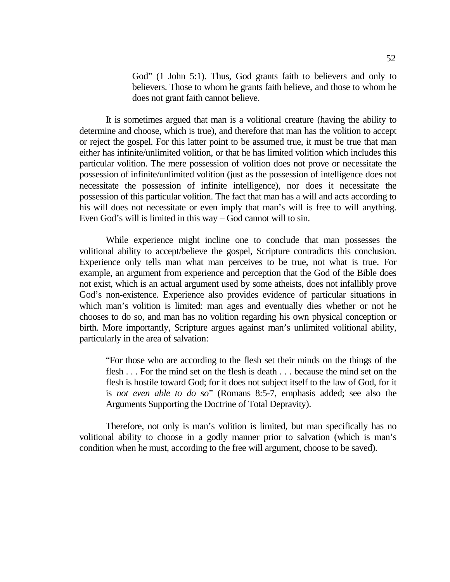God" (1 John 5:1). Thus, God grants faith to believers and only to believers. Those to whom he grants faith believe, and those to whom he does not grant faith cannot believe.

It is sometimes argued that man is a volitional creature (having the ability to determine and choose, which is true), and therefore that man has the volition to accept or reject the gospel. For this latter point to be assumed true, it must be true that man either has infinite/unlimited volition, or that he has limited volition which includes this particular volition. The mere possession of volition does not prove or necessitate the possession of infinite/unlimited volition (just as the possession of intelligence does not necessitate the possession of infinite intelligence), nor does it necessitate the possession of this particular volition. The fact that man has a will and acts according to his will does not necessitate or even imply that man's will is free to will anything. Even God's will is limited in this way – God cannot will to sin.

While experience might incline one to conclude that man possesses the volitional ability to accept/believe the gospel, Scripture contradicts this conclusion. Experience only tells man what man perceives to be true, not what is true. For example, an argument from experience and perception that the God of the Bible does not exist, which is an actual argument used by some atheists, does not infallibly prove God's non-existence. Experience also provides evidence of particular situations in which man's volition is limited: man ages and eventually dies whether or not he chooses to do so, and man has no volition regarding his own physical conception or birth. More importantly, Scripture argues against man's unlimited volitional ability, particularly in the area of salvation:

"For those who are according to the flesh set their minds on the things of the flesh . . . For the mind set on the flesh is death . . . because the mind set on the flesh is hostile toward God; for it does not subject itself to the law of God, for it is *not even able to do so*" (Romans 8:5-7, emphasis added; see also the Arguments Supporting the Doctrine of Total Depravity).

Therefore, not only is man's volition is limited, but man specifically has no volitional ability to choose in a godly manner prior to salvation (which is man's condition when he must, according to the free will argument, choose to be saved).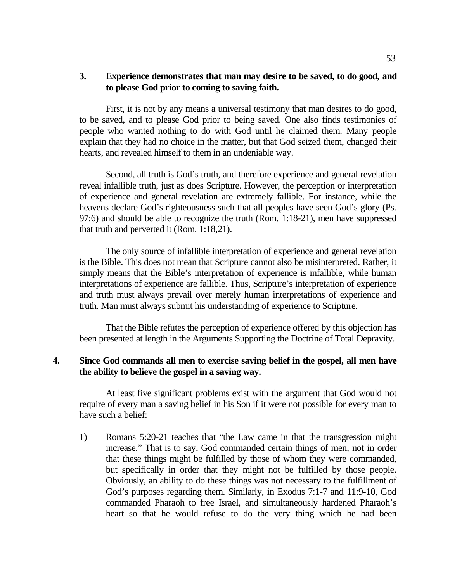## **3. Experience demonstrates that man may desire to be saved, to do good, and to please God prior to coming to saving faith.**

First, it is not by any means a universal testimony that man desires to do good, to be saved, and to please God prior to being saved. One also finds testimonies of people who wanted nothing to do with God until he claimed them. Many people explain that they had no choice in the matter, but that God seized them, changed their hearts, and revealed himself to them in an undeniable way.

Second, all truth is God's truth, and therefore experience and general revelation reveal infallible truth, just as does Scripture. However, the perception or interpretation of experience and general revelation are extremely fallible. For instance, while the heavens declare God's righteousness such that all peoples have seen God's glory (Ps. 97:6) and should be able to recognize the truth (Rom. 1:18-21), men have suppressed that truth and perverted it (Rom. 1:18,21).

The only source of infallible interpretation of experience and general revelation is the Bible. This does not mean that Scripture cannot also be misinterpreted. Rather, it simply means that the Bible's interpretation of experience is infallible, while human interpretations of experience are fallible. Thus, Scripture's interpretation of experience and truth must always prevail over merely human interpretations of experience and truth. Man must always submit his understanding of experience to Scripture.

That the Bible refutes the perception of experience offered by this objection has been presented at length in the Arguments Supporting the Doctrine of Total Depravity.

## **4. Since God commands all men to exercise saving belief in the gospel, all men have the ability to believe the gospel in a saving way.**

At least five significant problems exist with the argument that God would not require of every man a saving belief in his Son if it were not possible for every man to have such a belief:

1) Romans 5:20-21 teaches that "the Law came in that the transgression might increase." That is to say, God commanded certain things of men, not in order that these things might be fulfilled by those of whom they were commanded, but specifically in order that they might not be fulfilled by those people. Obviously, an ability to do these things was not necessary to the fulfillment of God's purposes regarding them. Similarly, in Exodus 7:1-7 and 11:9-10, God commanded Pharaoh to free Israel, and simultaneously hardened Pharaoh's heart so that he would refuse to do the very thing which he had been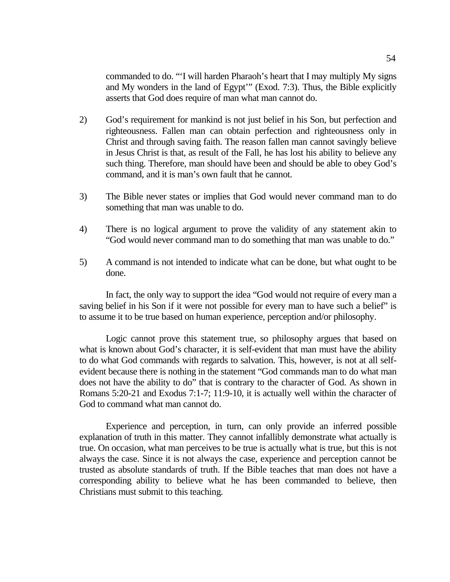commanded to do. "'I will harden Pharaoh's heart that I may multiply My signs and My wonders in the land of Egypt'" (Exod. 7:3). Thus, the Bible explicitly asserts that God does require of man what man cannot do.

- 2) God's requirement for mankind is not just belief in his Son, but perfection and righteousness. Fallen man can obtain perfection and righteousness only in Christ and through saving faith. The reason fallen man cannot savingly believe in Jesus Christ is that, as result of the Fall, he has lost his ability to believe any such thing. Therefore, man should have been and should be able to obey God's command, and it is man's own fault that he cannot.
- 3) The Bible never states or implies that God would never command man to do something that man was unable to do.
- 4) There is no logical argument to prove the validity of any statement akin to "God would never command man to do something that man was unable to do."
- 5) A command is not intended to indicate what can be done, but what ought to be done.

In fact, the only way to support the idea "God would not require of every man a saving belief in his Son if it were not possible for every man to have such a belief" is to assume it to be true based on human experience, perception and/or philosophy.

Logic cannot prove this statement true, so philosophy argues that based on what is known about God's character, it is self-evident that man must have the ability to do what God commands with regards to salvation. This, however, is not at all selfevident because there is nothing in the statement "God commands man to do what man does not have the ability to do" that is contrary to the character of God. As shown in Romans 5:20-21 and Exodus 7:1-7; 11:9-10, it is actually well within the character of God to command what man cannot do.

Experience and perception, in turn, can only provide an inferred possible explanation of truth in this matter. They cannot infallibly demonstrate what actually is true. On occasion, what man perceives to be true is actually what is true, but this is not always the case. Since it is not always the case, experience and perception cannot be trusted as absolute standards of truth. If the Bible teaches that man does not have a corresponding ability to believe what he has been commanded to believe, then Christians must submit to this teaching.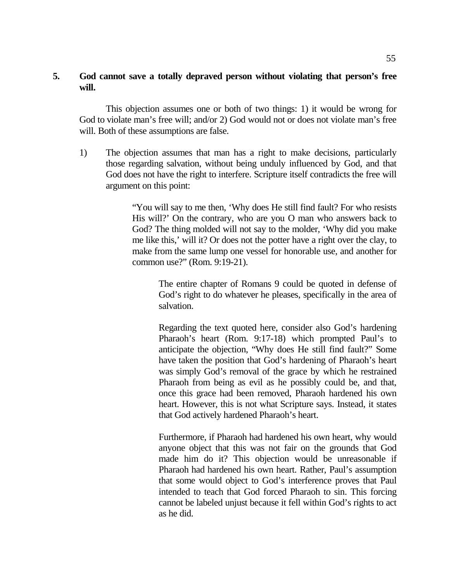## **5. God cannot save a totally depraved person without violating that person's free will.**

This objection assumes one or both of two things: 1) it would be wrong for God to violate man's free will; and/or 2) God would not or does not violate man's free will. Both of these assumptions are false.

1) The objection assumes that man has a right to make decisions, particularly those regarding salvation, without being unduly influenced by God, and that God does not have the right to interfere. Scripture itself contradicts the free will argument on this point:

> "You will say to me then, 'Why does He still find fault? For who resists His will?' On the contrary, who are you O man who answers back to God? The thing molded will not say to the molder, 'Why did you make me like this,' will it? Or does not the potter have a right over the clay, to make from the same lump one vessel for honorable use, and another for common use?" (Rom. 9:19-21).

The entire chapter of Romans 9 could be quoted in defense of God's right to do whatever he pleases, specifically in the area of salvation.

Regarding the text quoted here, consider also God's hardening Pharaoh's heart (Rom. 9:17-18) which prompted Paul's to anticipate the objection, "Why does He still find fault?" Some have taken the position that God's hardening of Pharaoh's heart was simply God's removal of the grace by which he restrained Pharaoh from being as evil as he possibly could be, and that, once this grace had been removed, Pharaoh hardened his own heart. However, this is not what Scripture says. Instead, it states that God actively hardened Pharaoh's heart.

Furthermore, if Pharaoh had hardened his own heart, why would anyone object that this was not fair on the grounds that God made him do it? This objection would be unreasonable if Pharaoh had hardened his own heart. Rather, Paul's assumption that some would object to God's interference proves that Paul intended to teach that God forced Pharaoh to sin. This forcing cannot be labeled unjust because it fell within God's rights to act as he did.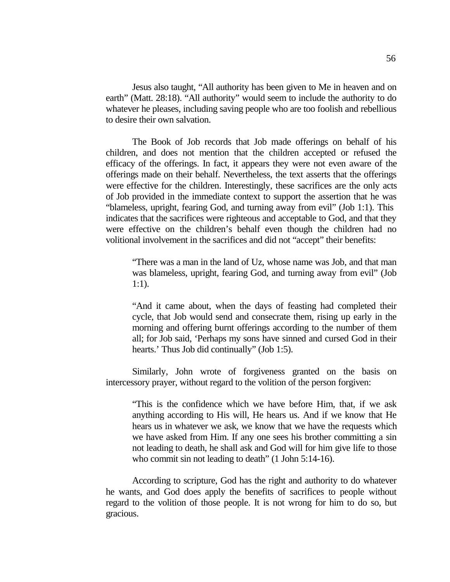Jesus also taught, "All authority has been given to Me in heaven and on earth" (Matt. 28:18). "All authority" would seem to include the authority to do whatever he pleases, including saving people who are too foolish and rebellious to desire their own salvation.

The Book of Job records that Job made offerings on behalf of his children, and does not mention that the children accepted or refused the efficacy of the offerings. In fact, it appears they were not even aware of the offerings made on their behalf. Nevertheless, the text asserts that the offerings were effective for the children. Interestingly, these sacrifices are the only acts of Job provided in the immediate context to support the assertion that he was "blameless, upright, fearing God, and turning away from evil" (Job 1:1). This indicates that the sacrifices were righteous and acceptable to God, and that they were effective on the children's behalf even though the children had no volitional involvement in the sacrifices and did not "accept" their benefits:

"There was a man in the land of Uz, whose name was Job, and that man was blameless, upright, fearing God, and turning away from evil" (Job 1:1).

"And it came about, when the days of feasting had completed their cycle, that Job would send and consecrate them, rising up early in the morning and offering burnt offerings according to the number of them all; for Job said, 'Perhaps my sons have sinned and cursed God in their hearts.' Thus Job did continually" (Job 1:5).

Similarly, John wrote of forgiveness granted on the basis on intercessory prayer, without regard to the volition of the person forgiven:

"This is the confidence which we have before Him, that, if we ask anything according to His will, He hears us. And if we know that He hears us in whatever we ask, we know that we have the requests which we have asked from Him. If any one sees his brother committing a sin not leading to death, he shall ask and God will for him give life to those who commit sin not leading to death" (1 John 5:14-16).

According to scripture, God has the right and authority to do whatever he wants, and God does apply the benefits of sacrifices to people without regard to the volition of those people. It is not wrong for him to do so, but gracious.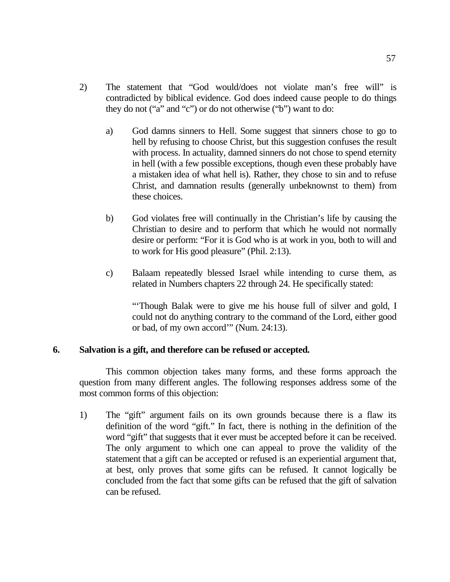- 2) The statement that "God would/does not violate man's free will" is contradicted by biblical evidence. God does indeed cause people to do things they do not ("a" and "c") or do not otherwise ("b") want to do:
	- a) God damns sinners to Hell. Some suggest that sinners chose to go to hell by refusing to choose Christ, but this suggestion confuses the result with process. In actuality, damned sinners do not chose to spend eternity in hell (with a few possible exceptions, though even these probably have a mistaken idea of what hell is). Rather, they chose to sin and to refuse Christ, and damnation results (generally unbeknownst to them) from these choices.
	- b) God violates free will continually in the Christian's life by causing the Christian to desire and to perform that which he would not normally desire or perform: "For it is God who is at work in you, both to will and to work for His good pleasure" (Phil. 2:13).
	- c) Balaam repeatedly blessed Israel while intending to curse them, as related in Numbers chapters 22 through 24. He specifically stated:

"'Though Balak were to give me his house full of silver and gold, I could not do anything contrary to the command of the Lord, either good or bad, of my own accord'" (Num. 24:13).

## **6. Salvation is a gift, and therefore can be refused or accepted.**

This common objection takes many forms, and these forms approach the question from many different angles. The following responses address some of the most common forms of this objection:

1) The "gift" argument fails on its own grounds because there is a flaw its definition of the word "gift." In fact, there is nothing in the definition of the word "gift" that suggests that it ever must be accepted before it can be received. The only argument to which one can appeal to prove the validity of the statement that a gift can be accepted or refused is an experiential argument that, at best, only proves that some gifts can be refused. It cannot logically be concluded from the fact that some gifts can be refused that the gift of salvation can be refused.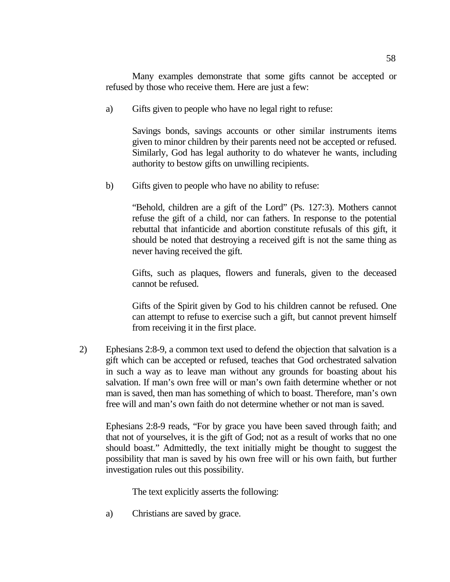Many examples demonstrate that some gifts cannot be accepted or refused by those who receive them. Here are just a few:

a) Gifts given to people who have no legal right to refuse:

Savings bonds, savings accounts or other similar instruments items given to minor children by their parents need not be accepted or refused. Similarly, God has legal authority to do whatever he wants, including authority to bestow gifts on unwilling recipients.

b) Gifts given to people who have no ability to refuse:

"Behold, children are a gift of the Lord" (Ps. 127:3). Mothers cannot refuse the gift of a child, nor can fathers. In response to the potential rebuttal that infanticide and abortion constitute refusals of this gift, it should be noted that destroying a received gift is not the same thing as never having received the gift.

Gifts, such as plaques, flowers and funerals, given to the deceased cannot be refused.

Gifts of the Spirit given by God to his children cannot be refused. One can attempt to refuse to exercise such a gift, but cannot prevent himself from receiving it in the first place.

2) Ephesians 2:8-9, a common text used to defend the objection that salvation is a gift which can be accepted or refused, teaches that God orchestrated salvation in such a way as to leave man without any grounds for boasting about his salvation. If man's own free will or man's own faith determine whether or not man is saved, then man has something of which to boast. Therefore, man's own free will and man's own faith do not determine whether or not man is saved.

Ephesians 2:8-9 reads, "For by grace you have been saved through faith; and that not of yourselves, it is the gift of God; not as a result of works that no one should boast." Admittedly, the text initially might be thought to suggest the possibility that man is saved by his own free will or his own faith, but further investigation rules out this possibility.

The text explicitly asserts the following:

a) Christians are saved by grace.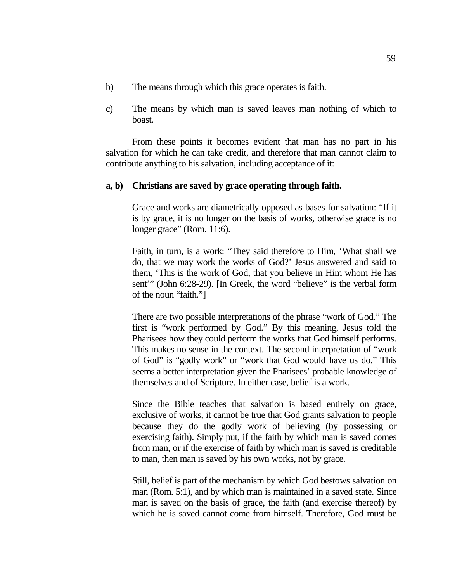- b) The means through which this grace operates is faith.
- c) The means by which man is saved leaves man nothing of which to boast.

From these points it becomes evident that man has no part in his salvation for which he can take credit, and therefore that man cannot claim to contribute anything to his salvation, including acceptance of it:

#### **a, b) Christians are saved by grace operating through faith.**

Grace and works are diametrically opposed as bases for salvation: "If it is by grace, it is no longer on the basis of works, otherwise grace is no longer grace" (Rom. 11:6).

Faith, in turn, is a work: "They said therefore to Him, 'What shall we do, that we may work the works of God?' Jesus answered and said to them, 'This is the work of God, that you believe in Him whom He has sent'" (John 6:28-29). [In Greek, the word "believe" is the verbal form of the noun "faith."]

There are two possible interpretations of the phrase "work of God." The first is "work performed by God." By this meaning, Jesus told the Pharisees how they could perform the works that God himself performs. This makes no sense in the context. The second interpretation of "work of God" is "godly work" or "work that God would have us do." This seems a better interpretation given the Pharisees' probable knowledge of themselves and of Scripture. In either case, belief is a work.

Since the Bible teaches that salvation is based entirely on grace, exclusive of works, it cannot be true that God grants salvation to people because they do the godly work of believing (by possessing or exercising faith). Simply put, if the faith by which man is saved comes from man, or if the exercise of faith by which man is saved is creditable to man, then man is saved by his own works, not by grace.

Still, belief is part of the mechanism by which God bestows salvation on man (Rom. 5:1), and by which man is maintained in a saved state. Since man is saved on the basis of grace, the faith (and exercise thereof) by which he is saved cannot come from himself. Therefore, God must be